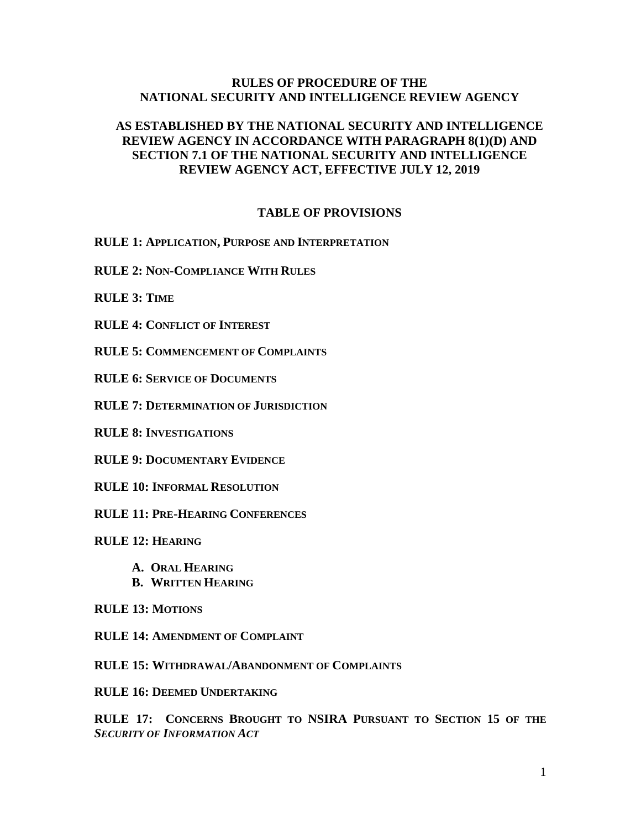## **RULES OF PROCEDURE OF THE NATIONAL SECURITY AND INTELLIGENCE REVIEW AGENCY**

# **AS ESTABLISHED BY THE NATIONAL SECURITY AND INTELLIGENCE REVIEW AGENCY IN ACCORDANCE WITH PARAGRAPH 8(1)(D) AND SECTION 7.1 OF THE NATIONAL SECURITY AND INTELLIGENCE REVIEW AGENCY ACT, EFFECTIVE JULY 12, 2019**

### **TABLE OF PROVISIONS**

**RULE 1: APPLICATION, PURPOSE AND INTERPRETATION**

**RULE 2: NON-COMPLIANCE WITH RULES**

**RULE 3: TIME**

**RULE 4: CONFLICT OF INTEREST**

**RULE 5: COMMENCEMENT OF COMPLAINTS**

**RULE 6: SERVICE OF DOCUMENTS**

**RULE 7: DETERMINATION OF JURISDICTION**

**RULE 8: INVESTIGATIONS** 

**RULE 9: DOCUMENTARY EVIDENCE**

**RULE 10: INFORMAL RESOLUTION**

**RULE 11: PRE-HEARING CONFERENCES** 

**RULE 12: HEARING**

- **A. ORAL HEARING**
- **B. WRITTEN HEARING**

**RULE 13: MOTIONS**

**RULE 14: AMENDMENT OF COMPLAINT**

**RULE 15: WITHDRAWAL/ABANDONMENT OF COMPLAINTS**

**RULE 16: DEEMED UNDERTAKING**

**RULE 17: CONCERNS BROUGHT TO NSIRA PURSUANT TO SECTION 15 OF THE**  *SECURITY OF INFORMATION ACT*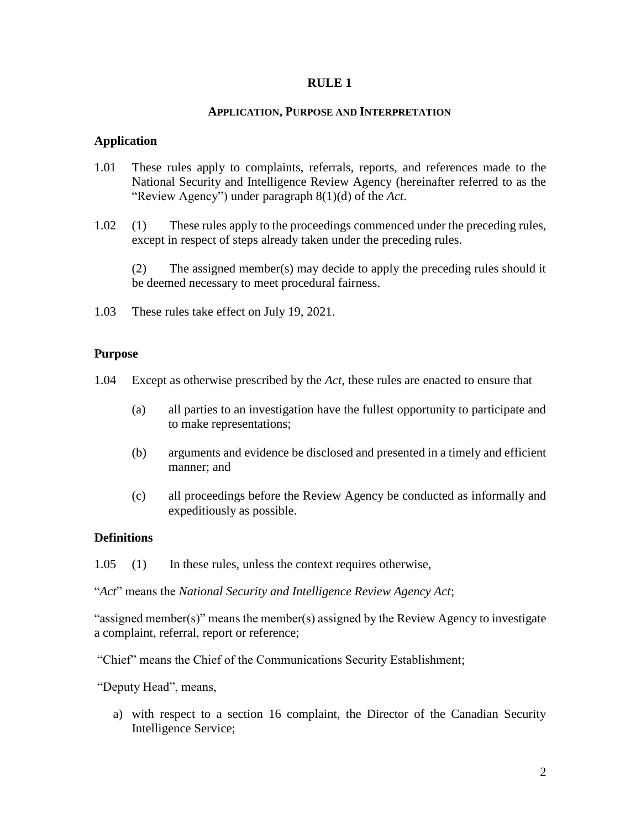#### **APPLICATION, PURPOSE AND INTERPRETATION**

## **Application**

- 1.01 These rules apply to complaints, referrals, reports, and references made to the National Security and Intelligence Review Agency (hereinafter referred to as the "Review Agency") under paragraph 8(1)(d) of the *Act*.
- 1.02 (1) These rules apply to the proceedings commenced under the preceding rules, except in respect of steps already taken under the preceding rules.

(2) The assigned member(s) may decide to apply the preceding rules should it be deemed necessary to meet procedural fairness.

1.03 These rules take effect on July 19, 2021.

### **Purpose**

- 1.04 Except as otherwise prescribed by the *Act*, these rules are enacted to ensure that
	- (a) all parties to an investigation have the fullest opportunity to participate and to make representations;
	- (b) arguments and evidence be disclosed and presented in a timely and efficient manner; and
	- (c) all proceedings before the Review Agency be conducted as informally and expeditiously as possible.

## **Definitions**

"*Act*" means the *National Security and Intelligence Review Agency Act*;

"assigned member(s)" means the member(s) assigned by the Review Agency to investigate a complaint, referral, report or reference;

"Chief" means the Chief of the Communications Security Establishment;

"Deputy Head", means,

a) with respect to a section 16 complaint, the Director of the Canadian Security Intelligence Service;

<sup>1.05</sup> (1) In these rules, unless the context requires otherwise,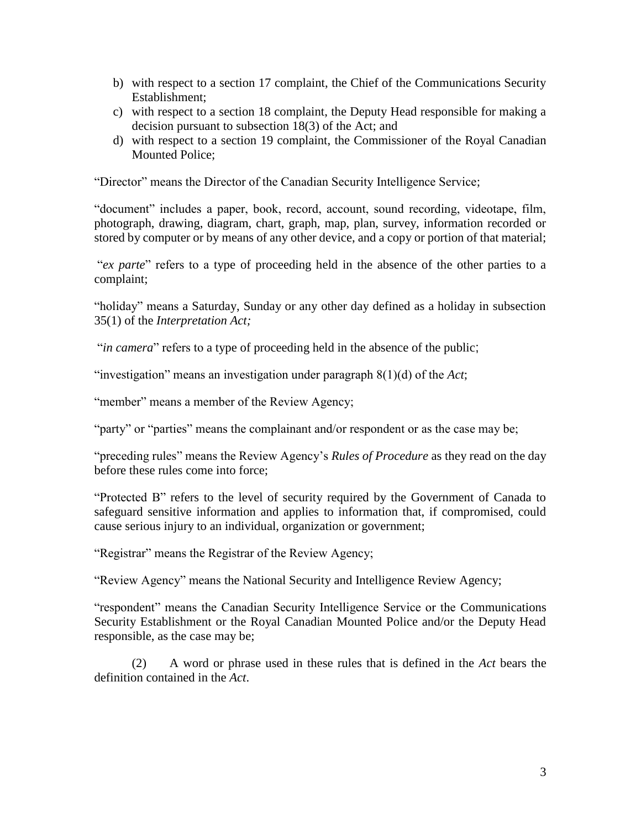- b) with respect to a section 17 complaint, the Chief of the Communications Security Establishment;
- c) with respect to a section 18 complaint, the Deputy Head responsible for making a decision pursuant to subsection 18(3) of the Act; and
- d) with respect to a section 19 complaint, the Commissioner of the Royal Canadian Mounted Police;

"Director" means the Director of the Canadian Security Intelligence Service;

"document" includes a paper, book, record, account, sound recording, videotape, film, photograph, drawing, diagram, chart, graph, map, plan, survey, information recorded or stored by computer or by means of any other device, and a copy or portion of that material;

"*ex parte*" refers to a type of proceeding held in the absence of the other parties to a complaint;

"holiday" means a Saturday, Sunday or any other day defined as a holiday in subsection 35(1) of the *Interpretation Act;*

"*in camera*" refers to a type of proceeding held in the absence of the public;

"investigation" means an investigation under paragraph 8(1)(d) of the *Act*;

"member" means a member of the Review Agency;

"party" or "parties" means the complainant and/or respondent or as the case may be;

"preceding rules" means the Review Agency's *Rules of Procedure* as they read on the day before these rules come into force;

"Protected B" refers to the level of security required by the Government of Canada to safeguard sensitive information and applies to information that, if compromised, could cause serious injury to an individual, organization or government;

"Registrar" means the Registrar of the Review Agency;

"Review Agency" means the National Security and Intelligence Review Agency;

"respondent" means the Canadian Security Intelligence Service or the Communications Security Establishment or the Royal Canadian Mounted Police and/or the Deputy Head responsible, as the case may be;

(2) A word or phrase used in these rules that is defined in the *Act* bears the definition contained in the *Act*.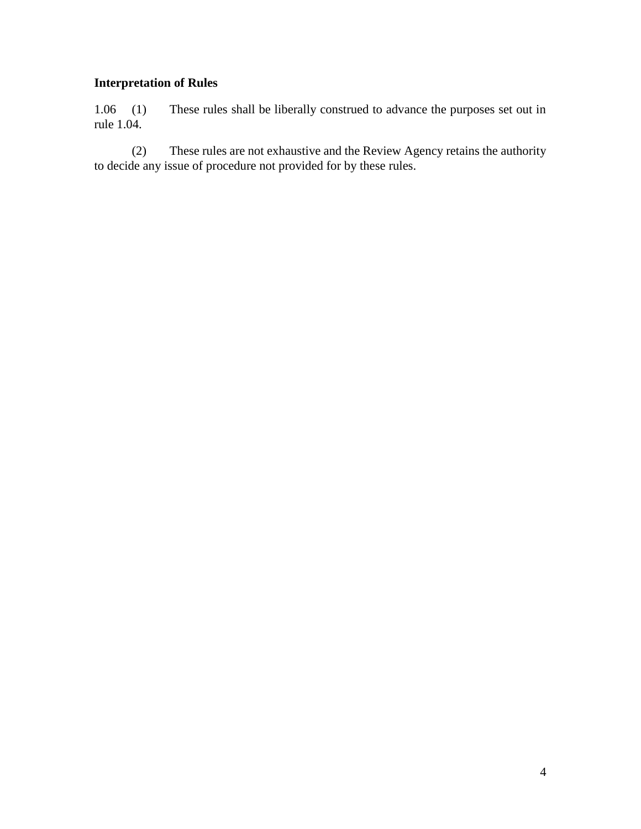# **Interpretation of Rules**

1.06 (1) These rules shall be liberally construed to advance the purposes set out in rule 1.04.

(2) These rules are not exhaustive and the Review Agency retains the authority to decide any issue of procedure not provided for by these rules.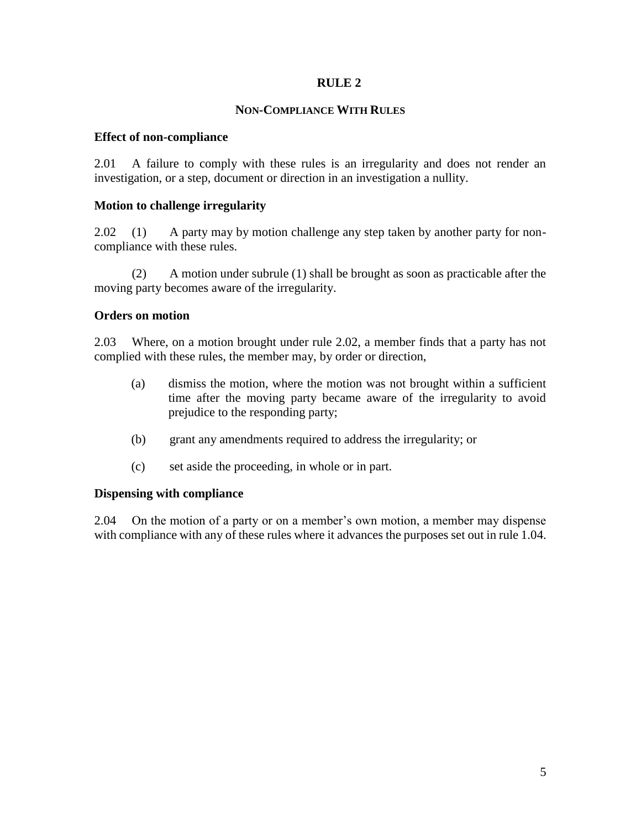### **NON-COMPLIANCE WITH RULES**

#### **Effect of non-compliance**

2.01 A failure to comply with these rules is an irregularity and does not render an investigation, or a step, document or direction in an investigation a nullity.

### **Motion to challenge irregularity**

2.02 (1) A party may by motion challenge any step taken by another party for noncompliance with these rules.

(2) A motion under subrule (1) shall be brought as soon as practicable after the moving party becomes aware of the irregularity.

### **Orders on motion**

2.03 Where, on a motion brought under rule 2.02, a member finds that a party has not complied with these rules, the member may, by order or direction,

- (a) dismiss the motion, where the motion was not brought within a sufficient time after the moving party became aware of the irregularity to avoid prejudice to the responding party;
- (b) grant any amendments required to address the irregularity; or
- (c) set aside the proceeding, in whole or in part.

## **Dispensing with compliance**

2.04 On the motion of a party or on a member's own motion, a member may dispense with compliance with any of these rules where it advances the purposes set out in rule 1.04.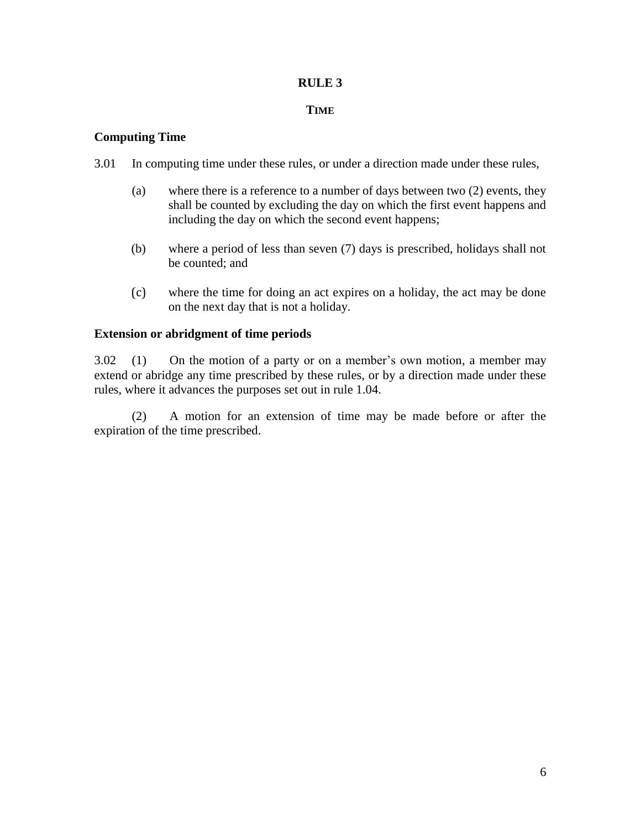### **TIME**

### **Computing Time**

- 3.01 In computing time under these rules, or under a direction made under these rules,
	- (a) where there is a reference to a number of days between two (2) events, they shall be counted by excluding the day on which the first event happens and including the day on which the second event happens;
	- (b) where a period of less than seven (7) days is prescribed, holidays shall not be counted; and
	- (c) where the time for doing an act expires on a holiday, the act may be done on the next day that is not a holiday.

### **Extension or abridgment of time periods**

3.02 (1) On the motion of a party or on a member's own motion, a member may extend or abridge any time prescribed by these rules, or by a direction made under these rules, where it advances the purposes set out in rule 1.04.

(2) A motion for an extension of time may be made before or after the expiration of the time prescribed.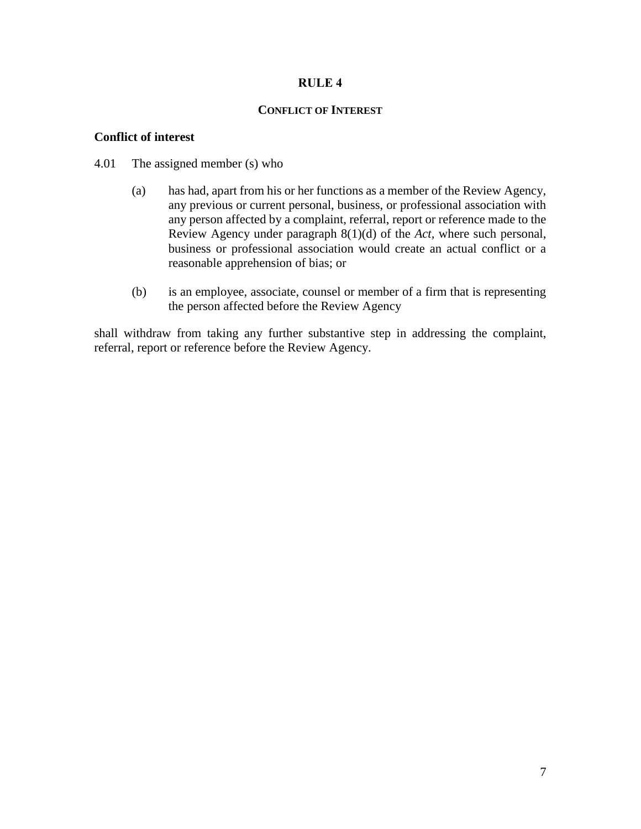### **CONFLICT OF INTEREST**

### **Conflict of interest**

### 4.01 The assigned member (s) who

- (a) has had, apart from his or her functions as a member of the Review Agency, any previous or current personal, business, or professional association with any person affected by a complaint, referral, report or reference made to the Review Agency under paragraph 8(1)(d) of the *Act,* where such personal, business or professional association would create an actual conflict or a reasonable apprehension of bias; or
- (b) is an employee, associate, counsel or member of a firm that is representing the person affected before the Review Agency

shall withdraw from taking any further substantive step in addressing the complaint, referral, report or reference before the Review Agency.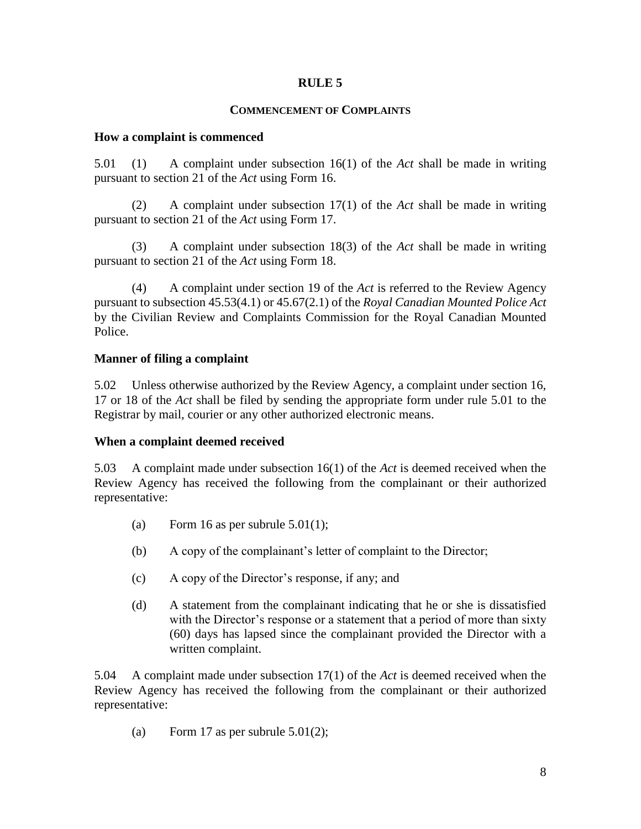## **COMMENCEMENT OF COMPLAINTS**

### **How a complaint is commenced**

5.01 (1) A complaint under subsection 16(1) of the *Act* shall be made in writing pursuant to section 21 of the *Act* using Form 16.

(2) A complaint under subsection 17(1) of the *Act* shall be made in writing pursuant to section 21 of the *Act* using Form 17.

(3) A complaint under subsection 18(3) of the *Act* shall be made in writing pursuant to section 21 of the *Act* using Form 18.

(4) A complaint under section 19 of the *Act* is referred to the Review Agency pursuant to subsection 45.53(4.1) or 45.67(2.1) of the *Royal Canadian Mounted Police Act* by the Civilian Review and Complaints Commission for the Royal Canadian Mounted Police.

## **Manner of filing a complaint**

5.02 Unless otherwise authorized by the Review Agency, a complaint under section 16, 17 or 18 of the *Act* shall be filed by sending the appropriate form under rule 5.01 to the Registrar by mail, courier or any other authorized electronic means.

## **When a complaint deemed received**

5.03 A complaint made under subsection 16(1) of the *Act* is deemed received when the Review Agency has received the following from the complainant or their authorized representative:

- (a) Form 16 as per subrule  $5.01(1)$ ;
- (b) A copy of the complainant's letter of complaint to the Director;
- (c) A copy of the Director's response, if any; and
- (d) A statement from the complainant indicating that he or she is dissatisfied with the Director's response or a statement that a period of more than sixty (60) days has lapsed since the complainant provided the Director with a written complaint.

5.04 A complaint made under subsection 17(1) of the *Act* is deemed received when the Review Agency has received the following from the complainant or their authorized representative:

(a) Form 17 as per subrule  $5.01(2)$ ;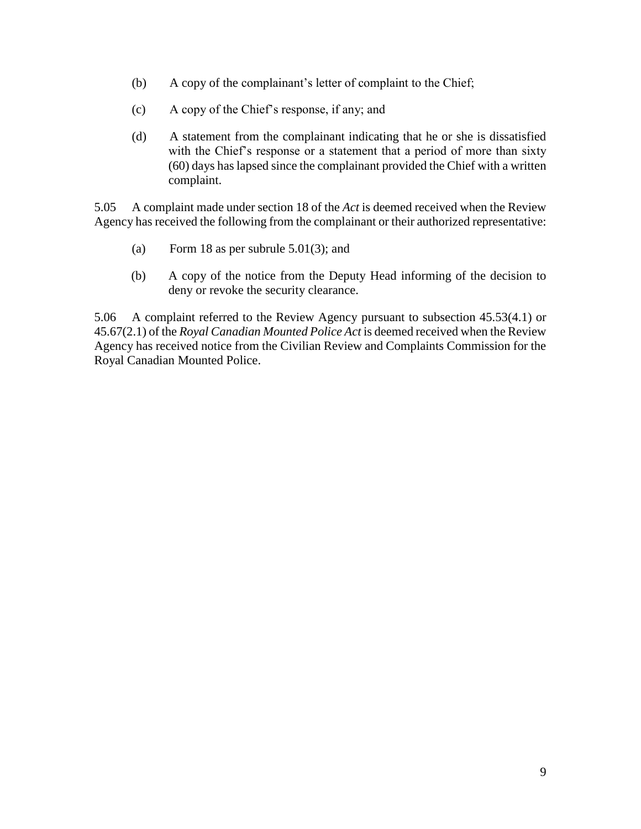- (b) A copy of the complainant's letter of complaint to the Chief;
- (c) A copy of the Chief's response, if any; and
- (d) A statement from the complainant indicating that he or she is dissatisfied with the Chief's response or a statement that a period of more than sixty (60) days has lapsed since the complainant provided the Chief with a written complaint.

5.05 A complaint made under section 18 of the *Act* is deemed received when the Review Agency has received the following from the complainant or their authorized representative:

- (a) Form 18 as per subrule 5.01(3); and
- (b) A copy of the notice from the Deputy Head informing of the decision to deny or revoke the security clearance.

5.06 A complaint referred to the Review Agency pursuant to subsection 45.53(4.1) or 45.67(2.1) of the *Royal Canadian Mounted Police Act* is deemed received when the Review Agency has received notice from the Civilian Review and Complaints Commission for the Royal Canadian Mounted Police.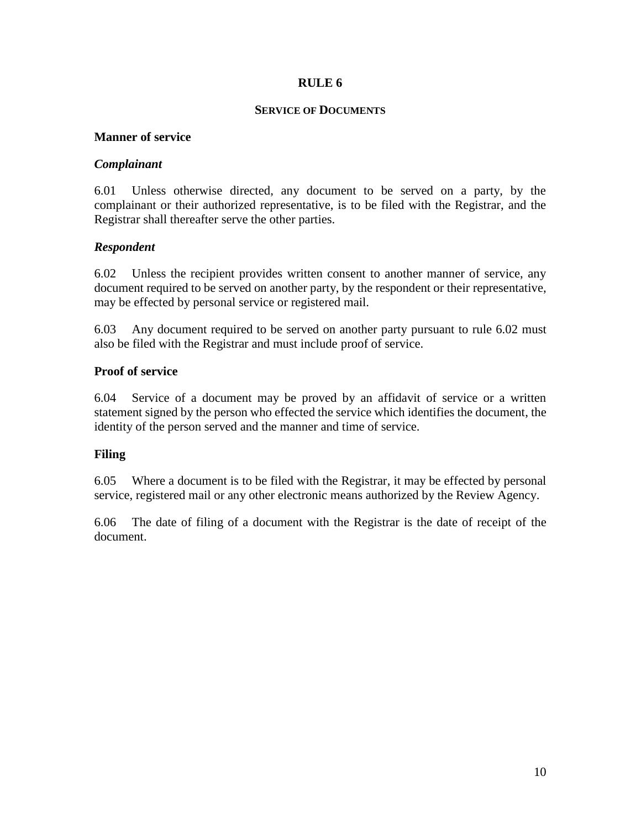#### **SERVICE OF DOCUMENTS**

## **Manner of service**

# *Complainant*

6.01 Unless otherwise directed, any document to be served on a party, by the complainant or their authorized representative, is to be filed with the Registrar, and the Registrar shall thereafter serve the other parties.

# *Respondent*

6.02 Unless the recipient provides written consent to another manner of service, any document required to be served on another party, by the respondent or their representative, may be effected by personal service or registered mail.

6.03 Any document required to be served on another party pursuant to rule 6.02 must also be filed with the Registrar and must include proof of service.

# **Proof of service**

6.04 Service of a document may be proved by an affidavit of service or a written statement signed by the person who effected the service which identifies the document, the identity of the person served and the manner and time of service.

## **Filing**

6.05 Where a document is to be filed with the Registrar, it may be effected by personal service, registered mail or any other electronic means authorized by the Review Agency.

6.06 The date of filing of a document with the Registrar is the date of receipt of the document.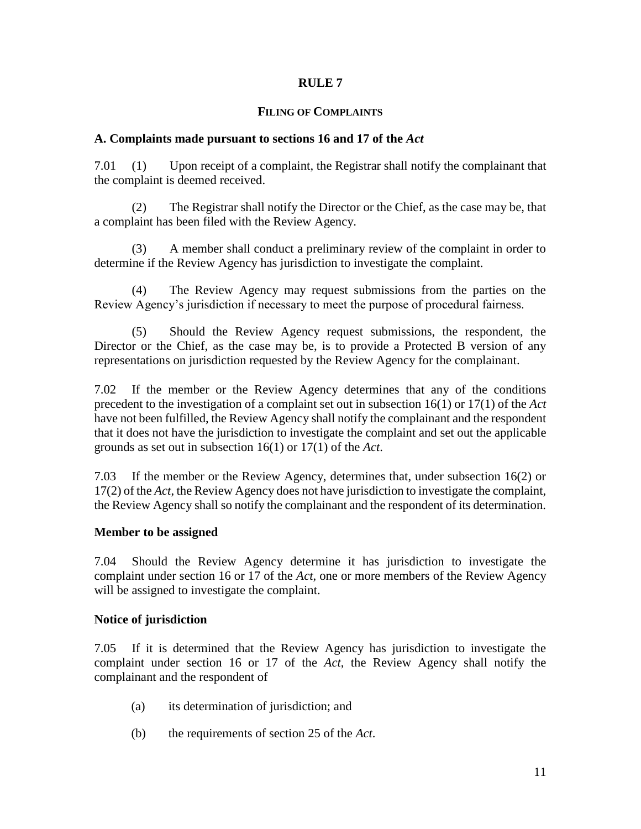#### **FILING OF COMPLAINTS**

### **A. Complaints made pursuant to sections 16 and 17 of the** *Act*

7.01 (1) Upon receipt of a complaint, the Registrar shall notify the complainant that the complaint is deemed received.

(2) The Registrar shall notify the Director or the Chief, as the case may be, that a complaint has been filed with the Review Agency.

(3) A member shall conduct a preliminary review of the complaint in order to determine if the Review Agency has jurisdiction to investigate the complaint.

(4) The Review Agency may request submissions from the parties on the Review Agency's jurisdiction if necessary to meet the purpose of procedural fairness.

(5) Should the Review Agency request submissions, the respondent, the Director or the Chief, as the case may be, is to provide a Protected B version of any representations on jurisdiction requested by the Review Agency for the complainant.

7.02 If the member or the Review Agency determines that any of the conditions precedent to the investigation of a complaint set out in subsection 16(1) or 17(1) of the *Act* have not been fulfilled, the Review Agency shall notify the complainant and the respondent that it does not have the jurisdiction to investigate the complaint and set out the applicable grounds as set out in subsection 16(1) or 17(1) of the *Act*.

7.03 If the member or the Review Agency, determines that, under subsection 16(2) or 17(2) of the *Act*, the Review Agency does not have jurisdiction to investigate the complaint, the Review Agency shall so notify the complainant and the respondent of its determination.

## **Member to be assigned**

7.04 Should the Review Agency determine it has jurisdiction to investigate the complaint under section 16 or 17 of the *Act*, one or more members of the Review Agency will be assigned to investigate the complaint.

## **Notice of jurisdiction**

7.05 If it is determined that the Review Agency has jurisdiction to investigate the complaint under section 16 or 17 of the *Act*, the Review Agency shall notify the complainant and the respondent of

- (a) its determination of jurisdiction; and
- (b) the requirements of section 25 of the *Act*.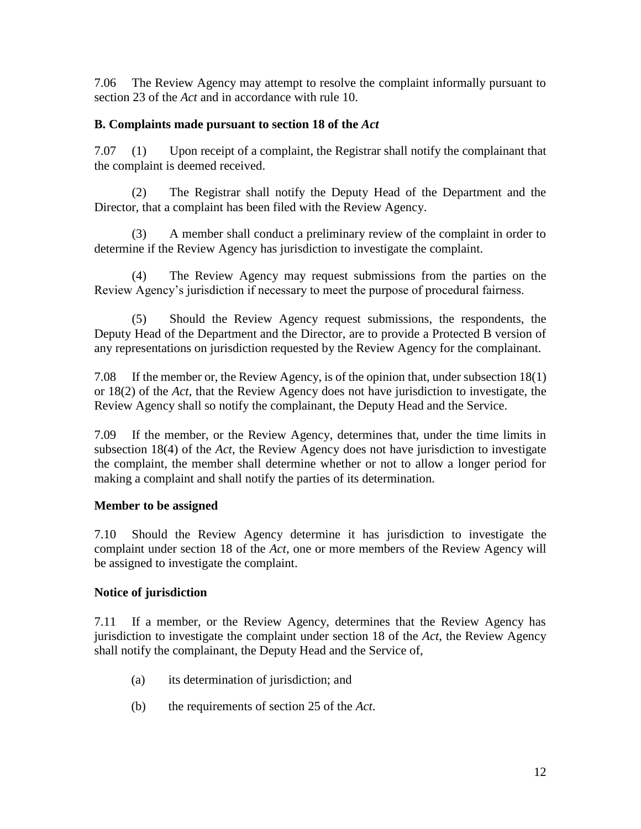7.06 The Review Agency may attempt to resolve the complaint informally pursuant to section 23 of the *Act* and in accordance with rule 10.

# **B. Complaints made pursuant to section 18 of the** *Act*

7.07 (1) Upon receipt of a complaint, the Registrar shall notify the complainant that the complaint is deemed received.

(2) The Registrar shall notify the Deputy Head of the Department and the Director, that a complaint has been filed with the Review Agency.

(3) A member shall conduct a preliminary review of the complaint in order to determine if the Review Agency has jurisdiction to investigate the complaint.

(4) The Review Agency may request submissions from the parties on the Review Agency's jurisdiction if necessary to meet the purpose of procedural fairness.

(5) Should the Review Agency request submissions, the respondents, the Deputy Head of the Department and the Director, are to provide a Protected B version of any representations on jurisdiction requested by the Review Agency for the complainant.

7.08 If the member or, the Review Agency, is of the opinion that, under subsection 18(1) or 18(2) of the *Act*, that the Review Agency does not have jurisdiction to investigate, the Review Agency shall so notify the complainant, the Deputy Head and the Service.

7.09 If the member, or the Review Agency, determines that, under the time limits in subsection 18(4) of the *Act*, the Review Agency does not have jurisdiction to investigate the complaint, the member shall determine whether or not to allow a longer period for making a complaint and shall notify the parties of its determination.

## **Member to be assigned**

7.10 Should the Review Agency determine it has jurisdiction to investigate the complaint under section 18 of the *Act*, one or more members of the Review Agency will be assigned to investigate the complaint.

# **Notice of jurisdiction**

7.11 If a member, or the Review Agency, determines that the Review Agency has jurisdiction to investigate the complaint under section 18 of the *Act*, the Review Agency shall notify the complainant, the Deputy Head and the Service of,

- (a) its determination of jurisdiction; and
- (b) the requirements of section 25 of the *Act*.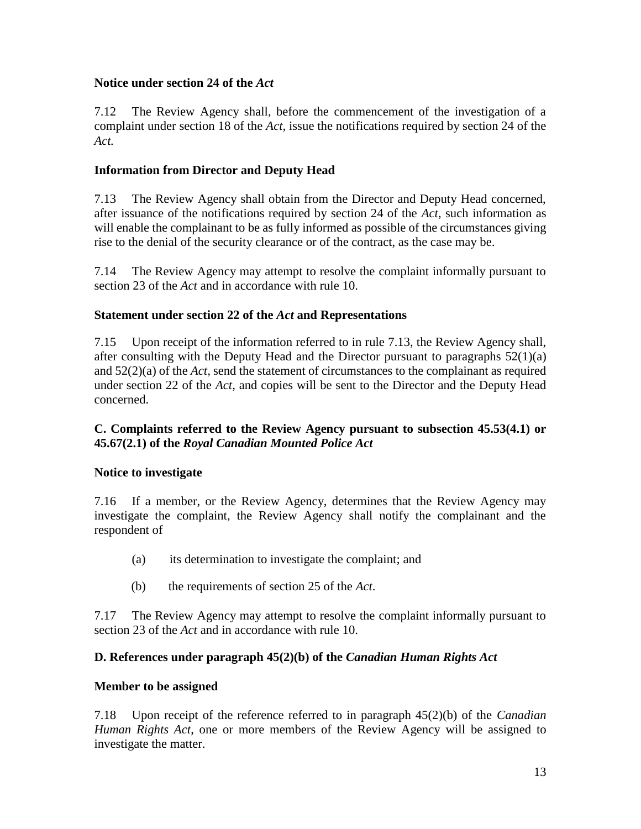# **Notice under section 24 of the** *Act*

7.12 The Review Agency shall, before the commencement of the investigation of a complaint under section 18 of the *Act*, issue the notifications required by section 24 of the *Act.*

# **Information from Director and Deputy Head**

7.13 The Review Agency shall obtain from the Director and Deputy Head concerned, after issuance of the notifications required by section 24 of the *Act,* such information as will enable the complainant to be as fully informed as possible of the circumstances giving rise to the denial of the security clearance or of the contract, as the case may be.

7.14 The Review Agency may attempt to resolve the complaint informally pursuant to section 23 of the *Act* and in accordance with rule 10.

# **Statement under section 22 of the** *Act* **and Representations**

7.15 Upon receipt of the information referred to in rule 7.13, the Review Agency shall, after consulting with the Deputy Head and the Director pursuant to paragraphs 52(1)(a) and 52(2)(a) of the *Act,* send the statement of circumstances to the complainant as required under section 22 of the *Act*, and copies will be sent to the Director and the Deputy Head concerned.

# **C. Complaints referred to the Review Agency pursuant to subsection 45.53(4.1) or 45.67(2.1) of the** *Royal Canadian Mounted Police Act*

# **Notice to investigate**

7.16 If a member, or the Review Agency, determines that the Review Agency may investigate the complaint, the Review Agency shall notify the complainant and the respondent of

- (a) its determination to investigate the complaint; and
- (b) the requirements of section 25 of the *Act*.

7.17 The Review Agency may attempt to resolve the complaint informally pursuant to section 23 of the *Act* and in accordance with rule 10.

# **D. References under paragraph 45(2)(b) of the** *Canadian Human Rights Act*

# **Member to be assigned**

7.18 Upon receipt of the reference referred to in paragraph 45(2)(b) of the *Canadian Human Rights Act*, one or more members of the Review Agency will be assigned to investigate the matter.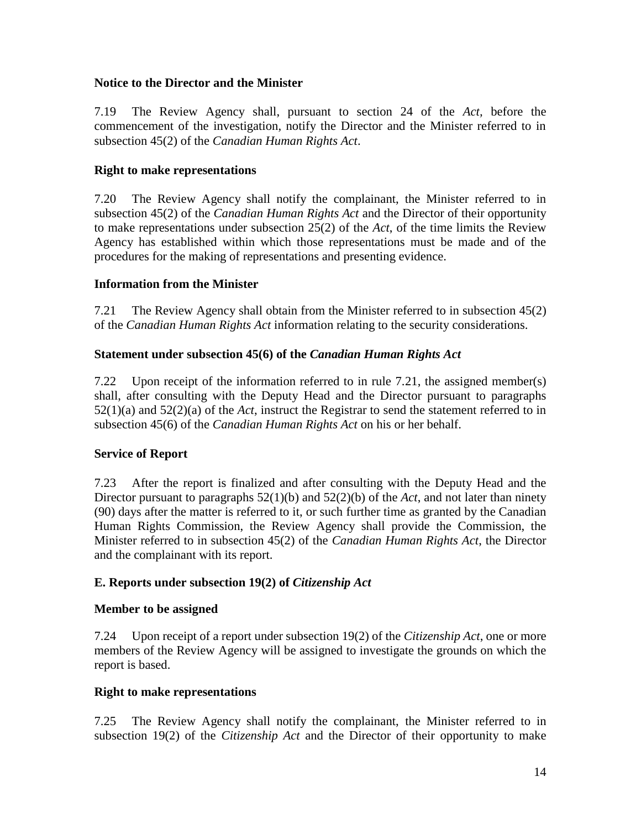# **Notice to the Director and the Minister**

7.19 The Review Agency shall, pursuant to section 24 of the *Act,* before the commencement of the investigation, notify the Director and the Minister referred to in subsection 45(2) of the *Canadian Human Rights Act*.

# **Right to make representations**

7.20 The Review Agency shall notify the complainant, the Minister referred to in subsection 45(2) of the *Canadian Human Rights Act* and the Director of their opportunity to make representations under subsection 25(2) of the *Act*, of the time limits the Review Agency has established within which those representations must be made and of the procedures for the making of representations and presenting evidence.

# **Information from the Minister**

7.21 The Review Agency shall obtain from the Minister referred to in subsection 45(2) of the *Canadian Human Rights Act* information relating to the security considerations.

# **Statement under subsection 45(6) of the** *Canadian Human Rights Act*

7.22 Upon receipt of the information referred to in rule 7.21, the assigned member(s) shall, after consulting with the Deputy Head and the Director pursuant to paragraphs 52(1)(a) and 52(2)(a) of the *Act*, instruct the Registrar to send the statement referred to in subsection 45(6) of the *Canadian Human Rights Act* on his or her behalf.

# **Service of Report**

7.23 After the report is finalized and after consulting with the Deputy Head and the Director pursuant to paragraphs 52(1)(b) and 52(2)(b) of the *Act*, and not later than ninety (90) days after the matter is referred to it, or such further time as granted by the Canadian Human Rights Commission, the Review Agency shall provide the Commission, the Minister referred to in subsection 45(2) of the *Canadian Human Rights Act*, the Director and the complainant with its report.

# **E. Reports under subsection 19(2) of** *Citizenship Act*

## **Member to be assigned**

7.24 Upon receipt of a report under subsection 19(2) of the *Citizenship Act*, one or more members of the Review Agency will be assigned to investigate the grounds on which the report is based.

## **Right to make representations**

7.25 The Review Agency shall notify the complainant, the Minister referred to in subsection 19(2) of the *Citizenship Act* and the Director of their opportunity to make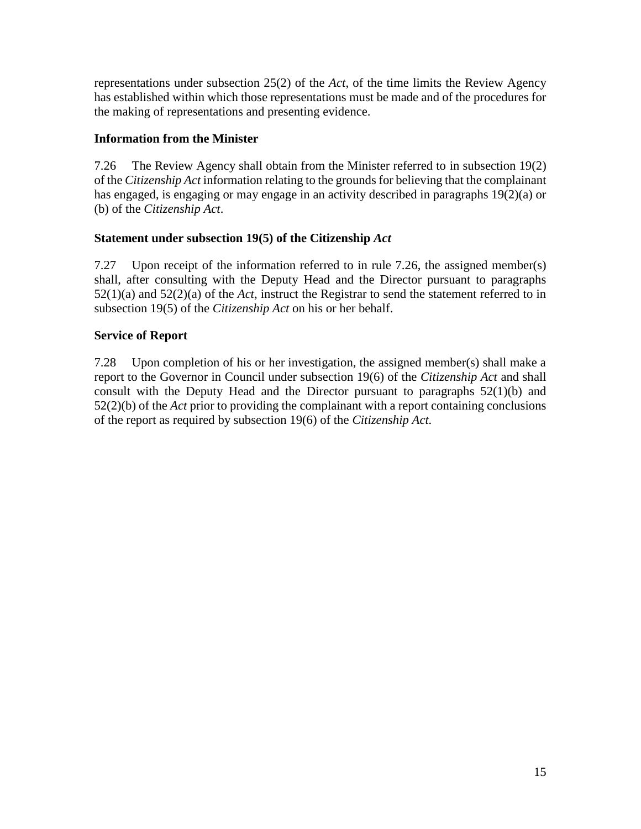representations under subsection 25(2) of the *Act*, of the time limits the Review Agency has established within which those representations must be made and of the procedures for the making of representations and presenting evidence.

# **Information from the Minister**

7.26 The Review Agency shall obtain from the Minister referred to in subsection 19(2) of the *Citizenship Act* information relating to the grounds for believing that the complainant has engaged, is engaging or may engage in an activity described in paragraphs 19(2)(a) or (b) of the *Citizenship Act*.

# **Statement under subsection 19(5) of the Citizenship** *Act*

7.27 Upon receipt of the information referred to in rule 7.26, the assigned member(s) shall, after consulting with the Deputy Head and the Director pursuant to paragraphs 52(1)(a) and 52(2)(a) of the *Act*, instruct the Registrar to send the statement referred to in subsection 19(5) of the *Citizenship Act* on his or her behalf.

# **Service of Report**

7.28 Upon completion of his or her investigation, the assigned member(s) shall make a report to the Governor in Council under subsection 19(6) of the *Citizenship Act* and shall consult with the Deputy Head and the Director pursuant to paragraphs 52(1)(b) and 52(2)(b) of the *Act* prior to providing the complainant with a report containing conclusions of the report as required by subsection 19(6) of the *Citizenship Act.*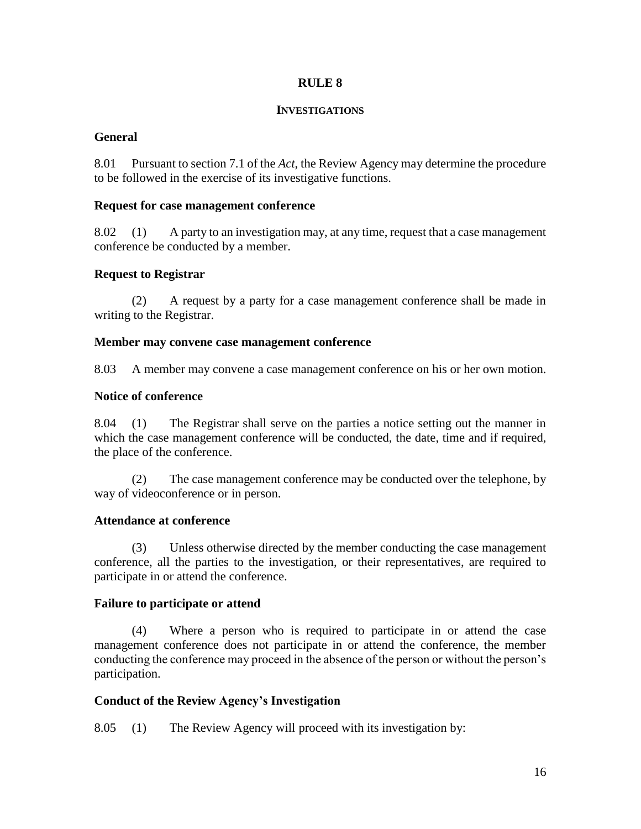#### **INVESTIGATIONS**

# **General**

8.01 Pursuant to section 7.1 of the *Act*, the Review Agency may determine the procedure to be followed in the exercise of its investigative functions.

## **Request for case management conference**

8.02 (1) A party to an investigation may, at any time, request that a case management conference be conducted by a member.

# **Request to Registrar**

(2) A request by a party for a case management conference shall be made in writing to the Registrar.

## **Member may convene case management conference**

8.03 A member may convene a case management conference on his or her own motion.

## **Notice of conference**

8.04 (1) The Registrar shall serve on the parties a notice setting out the manner in which the case management conference will be conducted, the date, time and if required, the place of the conference.

(2) The case management conference may be conducted over the telephone, by way of videoconference or in person.

## **Attendance at conference**

(3) Unless otherwise directed by the member conducting the case management conference, all the parties to the investigation, or their representatives, are required to participate in or attend the conference.

## **Failure to participate or attend**

(4) Where a person who is required to participate in or attend the case management conference does not participate in or attend the conference, the member conducting the conference may proceed in the absence of the person or without the person's participation.

## **Conduct of the Review Agency's Investigation**

8.05 (1) The Review Agency will proceed with its investigation by: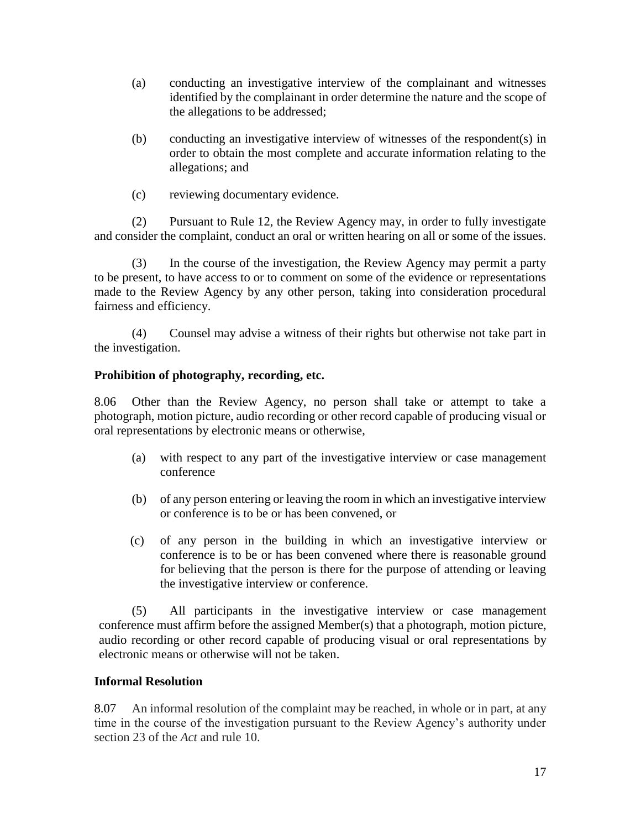- (a) conducting an investigative interview of the complainant and witnesses identified by the complainant in order determine the nature and the scope of the allegations to be addressed;
- (b) conducting an investigative interview of witnesses of the respondent(s) in order to obtain the most complete and accurate information relating to the allegations; and
- (c) reviewing documentary evidence.

(2) Pursuant to Rule 12, the Review Agency may, in order to fully investigate and consider the complaint, conduct an oral or written hearing on all or some of the issues.

(3) In the course of the investigation, the Review Agency may permit a party to be present, to have access to or to comment on some of the evidence or representations made to the Review Agency by any other person, taking into consideration procedural fairness and efficiency.

(4) Counsel may advise a witness of their rights but otherwise not take part in the investigation.

# **Prohibition of photography, recording, etc.**

8.06 Other than the Review Agency, no person shall take or attempt to take a photograph, motion picture, audio recording or other record capable of producing visual or oral representations by electronic means or otherwise,

- (a) with respect to any part of the investigative interview or case management conference
- (b) of any person entering or leaving the room in which an investigative interview or conference is to be or has been convened, or
- (c) of any person in the building in which an investigative interview or conference is to be or has been convened where there is reasonable ground for believing that the person is there for the purpose of attending or leaving the investigative interview or conference.

(5) All participants in the investigative interview or case management conference must affirm before the assigned Member(s) that a photograph, motion picture, audio recording or other record capable of producing visual or oral representations by electronic means or otherwise will not be taken.

# **Informal Resolution**

8.07 An informal resolution of the complaint may be reached, in whole or in part, at any time in the course of the investigation pursuant to the Review Agency's authority under section 23 of the *Act* and rule 10.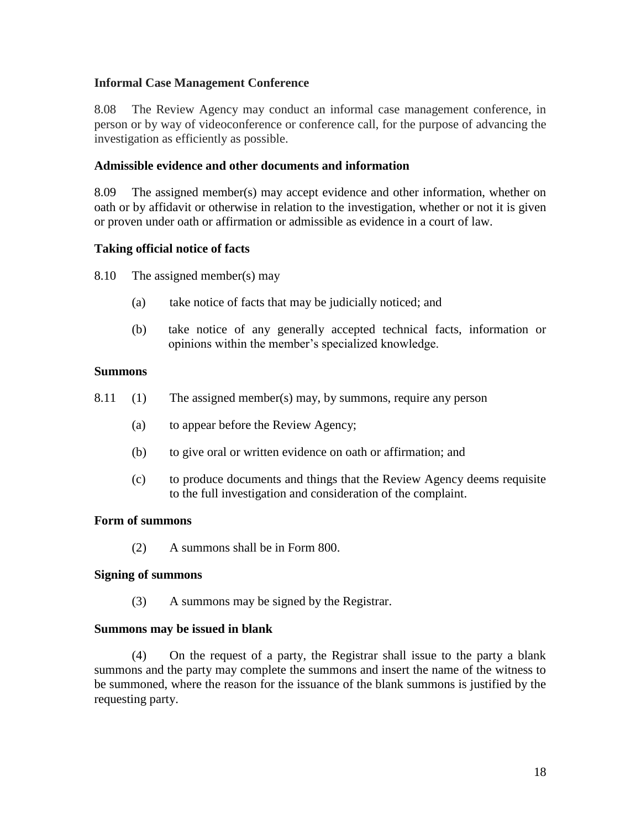## **Informal Case Management Conference**

8.08 The Review Agency may conduct an informal case management conference, in person or by way of videoconference or conference call, for the purpose of advancing the investigation as efficiently as possible.

## **Admissible evidence and other documents and information**

8.09 The assigned member(s) may accept evidence and other information, whether on oath or by affidavit or otherwise in relation to the investigation, whether or not it is given or proven under oath or affirmation or admissible as evidence in a court of law.

## **Taking official notice of facts**

8.10 The assigned member(s) may

- (a) take notice of facts that may be judicially noticed; and
- (b) take notice of any generally accepted technical facts, information or opinions within the member's specialized knowledge.

## **Summons**

- 8.11 (1) The assigned member(s) may, by summons, require any person
	- (a) to appear before the Review Agency;
	- (b) to give oral or written evidence on oath or affirmation; and
	- (c) to produce documents and things that the Review Agency deems requisite to the full investigation and consideration of the complaint.

## **Form of summons**

(2) A summons shall be in Form 800.

## **Signing of summons**

(3) A summons may be signed by the Registrar.

## **Summons may be issued in blank**

(4) On the request of a party, the Registrar shall issue to the party a blank summons and the party may complete the summons and insert the name of the witness to be summoned, where the reason for the issuance of the blank summons is justified by the requesting party.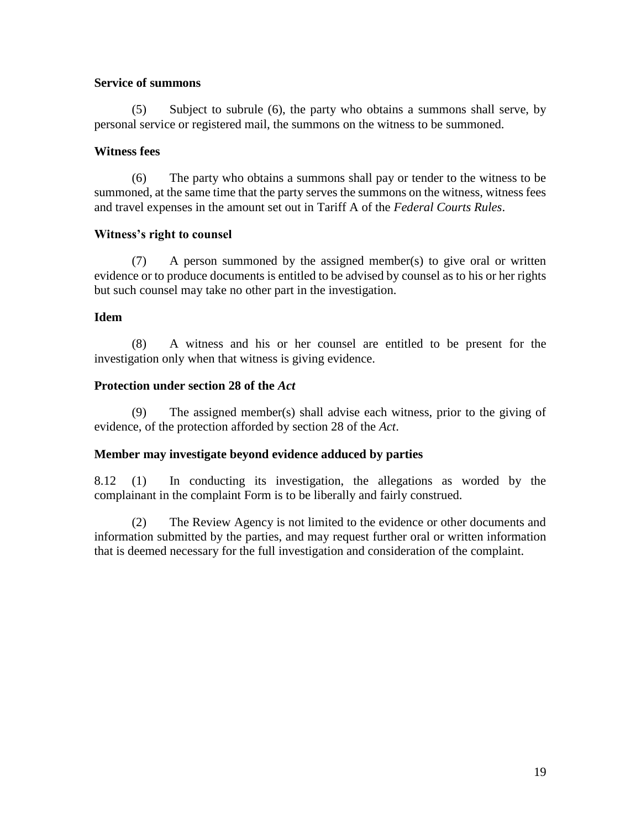# **Service of summons**

(5) Subject to subrule (6), the party who obtains a summons shall serve, by personal service or registered mail, the summons on the witness to be summoned.

# **Witness fees**

(6) The party who obtains a summons shall pay or tender to the witness to be summoned, at the same time that the party serves the summons on the witness, witness fees and travel expenses in the amount set out in Tariff A of the *Federal Courts Rules*.

# **Witness's right to counsel**

(7) A person summoned by the assigned member(s) to give oral or written evidence or to produce documents is entitled to be advised by counsel as to his or her rights but such counsel may take no other part in the investigation.

# **Idem**

(8) A witness and his or her counsel are entitled to be present for the investigation only when that witness is giving evidence.

# **Protection under section 28 of the** *Act*

(9) The assigned member(s) shall advise each witness, prior to the giving of evidence, of the protection afforded by section 28 of the *Act*.

# **Member may investigate beyond evidence adduced by parties**

8.12 (1) In conducting its investigation, the allegations as worded by the complainant in the complaint Form is to be liberally and fairly construed.

(2) The Review Agency is not limited to the evidence or other documents and information submitted by the parties, and may request further oral or written information that is deemed necessary for the full investigation and consideration of the complaint.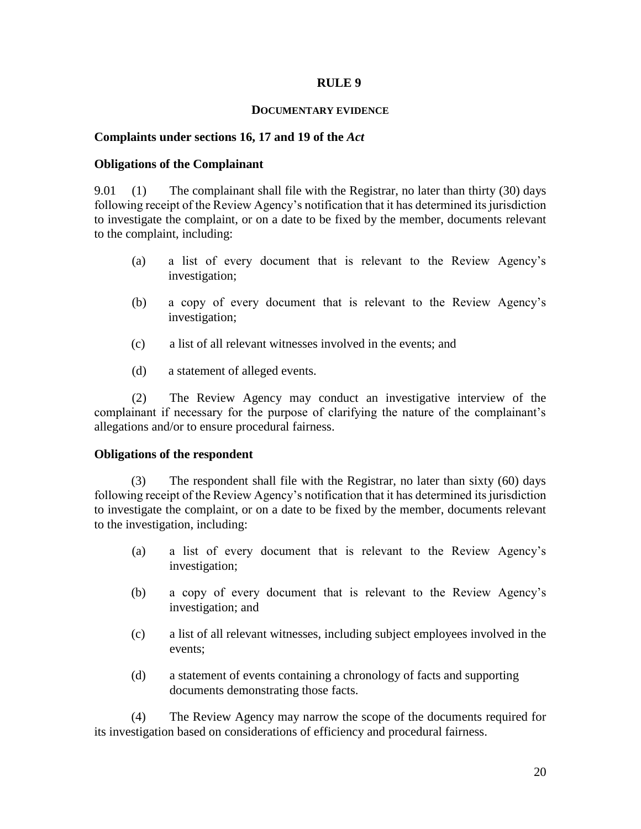#### **DOCUMENTARY EVIDENCE**

### **Complaints under sections 16, 17 and 19 of the** *Act*

#### **Obligations of the Complainant**

9.01 (1) The complainant shall file with the Registrar, no later than thirty (30) days following receipt of the Review Agency's notification that it has determined its jurisdiction to investigate the complaint, or on a date to be fixed by the member, documents relevant to the complaint, including:

- (a) a list of every document that is relevant to the Review Agency's investigation;
- (b) a copy of every document that is relevant to the Review Agency's investigation;
- (c) a list of all relevant witnesses involved in the events; and
- (d) a statement of alleged events.

(2) The Review Agency may conduct an investigative interview of the complainant if necessary for the purpose of clarifying the nature of the complainant's allegations and/or to ensure procedural fairness.

#### **Obligations of the respondent**

(3) The respondent shall file with the Registrar, no later than sixty (60) days following receipt of the Review Agency's notification that it has determined its jurisdiction to investigate the complaint, or on a date to be fixed by the member, documents relevant to the investigation, including:

- (a) a list of every document that is relevant to the Review Agency's investigation;
- (b) a copy of every document that is relevant to the Review Agency's investigation; and
- (c) a list of all relevant witnesses, including subject employees involved in the events;
- (d) a statement of events containing a chronology of facts and supporting documents demonstrating those facts.

(4) The Review Agency may narrow the scope of the documents required for its investigation based on considerations of efficiency and procedural fairness.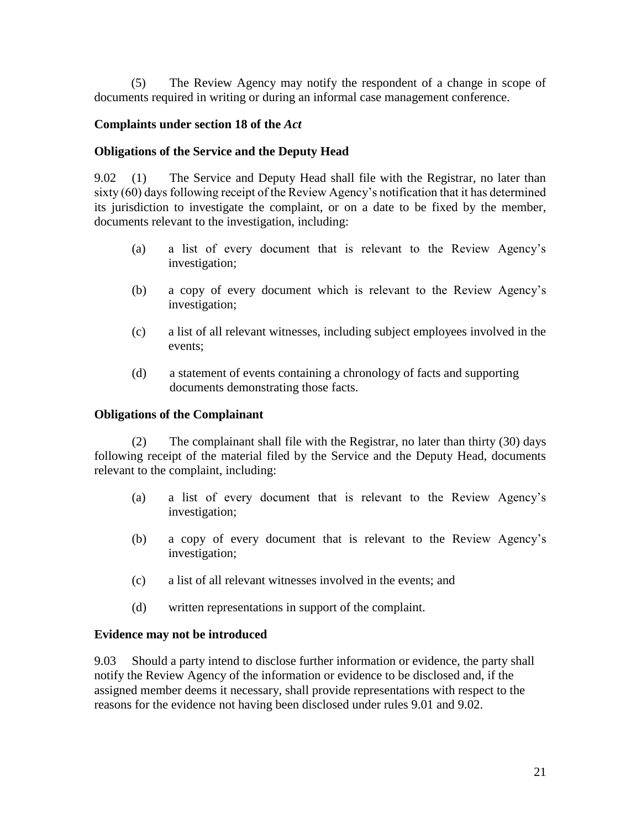(5) The Review Agency may notify the respondent of a change in scope of documents required in writing or during an informal case management conference.

# **Complaints under section 18 of the** *Act*

## **Obligations of the Service and the Deputy Head**

9.02 (1) The Service and Deputy Head shall file with the Registrar, no later than sixty (60) days following receipt of the Review Agency's notification that it has determined its jurisdiction to investigate the complaint, or on a date to be fixed by the member, documents relevant to the investigation, including:

- (a) a list of every document that is relevant to the Review Agency's investigation;
- (b) a copy of every document which is relevant to the Review Agency's investigation;
- (c) a list of all relevant witnesses, including subject employees involved in the events;
- (d) a statement of events containing a chronology of facts and supporting documents demonstrating those facts.

## **Obligations of the Complainant**

(2) The complainant shall file with the Registrar, no later than thirty (30) days following receipt of the material filed by the Service and the Deputy Head, documents relevant to the complaint, including:

- (a) a list of every document that is relevant to the Review Agency's investigation;
- (b) a copy of every document that is relevant to the Review Agency's investigation;
- (c) a list of all relevant witnesses involved in the events; and
- (d) written representations in support of the complaint.

## **Evidence may not be introduced**

9.03 Should a party intend to disclose further information or evidence, the party shall notify the Review Agency of the information or evidence to be disclosed and, if the assigned member deems it necessary, shall provide representations with respect to the reasons for the evidence not having been disclosed under rules 9.01 and 9.02.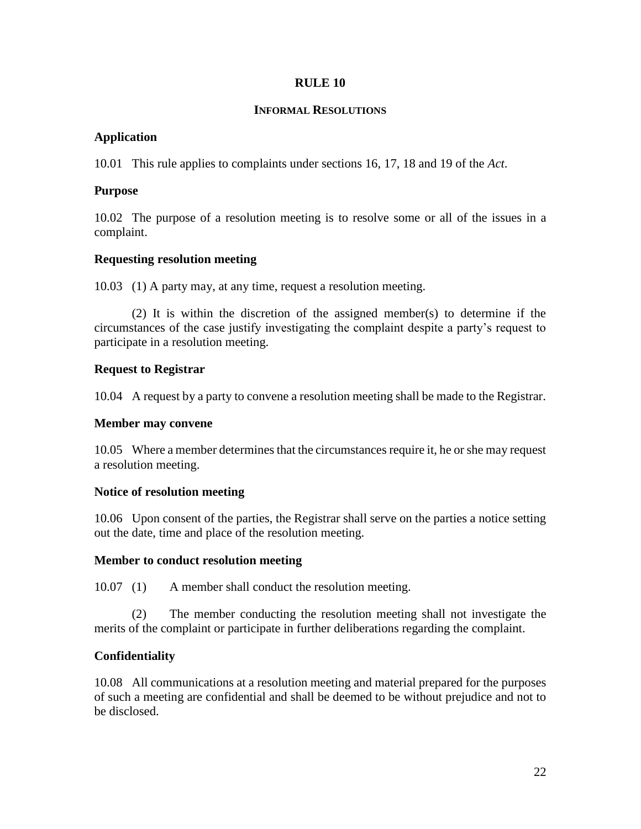## **INFORMAL RESOLUTIONS**

# **Application**

10.01 This rule applies to complaints under sections 16, 17, 18 and 19 of the *Act*.

## **Purpose**

10.02 The purpose of a resolution meeting is to resolve some or all of the issues in a complaint.

# **Requesting resolution meeting**

10.03 (1) A party may, at any time, request a resolution meeting.

(2) It is within the discretion of the assigned member(s) to determine if the circumstances of the case justify investigating the complaint despite a party's request to participate in a resolution meeting.

# **Request to Registrar**

10.04 A request by a party to convene a resolution meeting shall be made to the Registrar.

## **Member may convene**

10.05 Where a member determines that the circumstances require it, he or she may request a resolution meeting.

# **Notice of resolution meeting**

10.06 Upon consent of the parties, the Registrar shall serve on the parties a notice setting out the date, time and place of the resolution meeting.

## **Member to conduct resolution meeting**

10.07 (1) A member shall conduct the resolution meeting.

(2) The member conducting the resolution meeting shall not investigate the merits of the complaint or participate in further deliberations regarding the complaint.

# **Confidentiality**

10.08 All communications at a resolution meeting and material prepared for the purposes of such a meeting are confidential and shall be deemed to be without prejudice and not to be disclosed.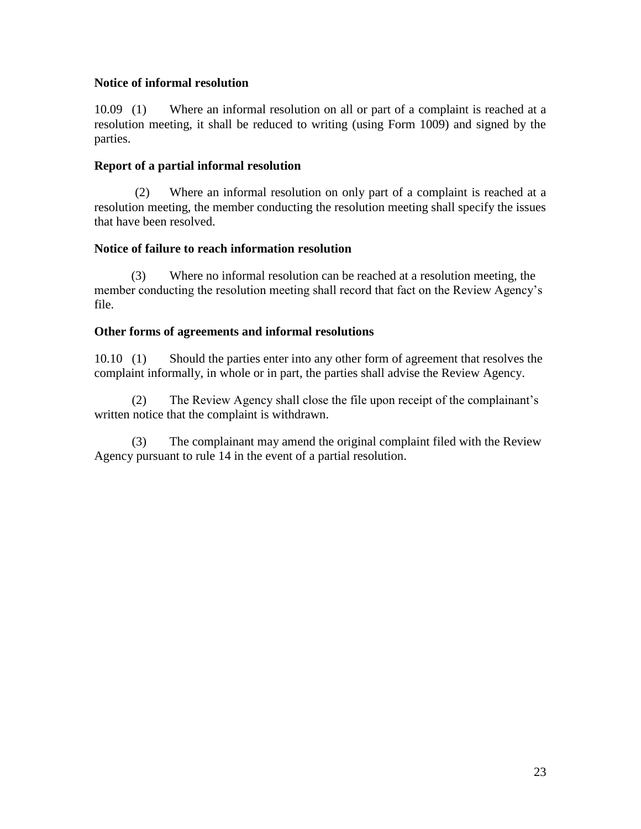# **Notice of informal resolution**

10.09 (1) Where an informal resolution on all or part of a complaint is reached at a resolution meeting, it shall be reduced to writing (using Form 1009) and signed by the parties.

# **Report of a partial informal resolution**

(2) Where an informal resolution on only part of a complaint is reached at a resolution meeting, the member conducting the resolution meeting shall specify the issues that have been resolved.

# **Notice of failure to reach information resolution**

(3) Where no informal resolution can be reached at a resolution meeting, the member conducting the resolution meeting shall record that fact on the Review Agency's file.

# **Other forms of agreements and informal resolutions**

10.10 (1) Should the parties enter into any other form of agreement that resolves the complaint informally, in whole or in part, the parties shall advise the Review Agency.

(2) The Review Agency shall close the file upon receipt of the complainant's written notice that the complaint is withdrawn.

(3) The complainant may amend the original complaint filed with the Review Agency pursuant to rule 14 in the event of a partial resolution.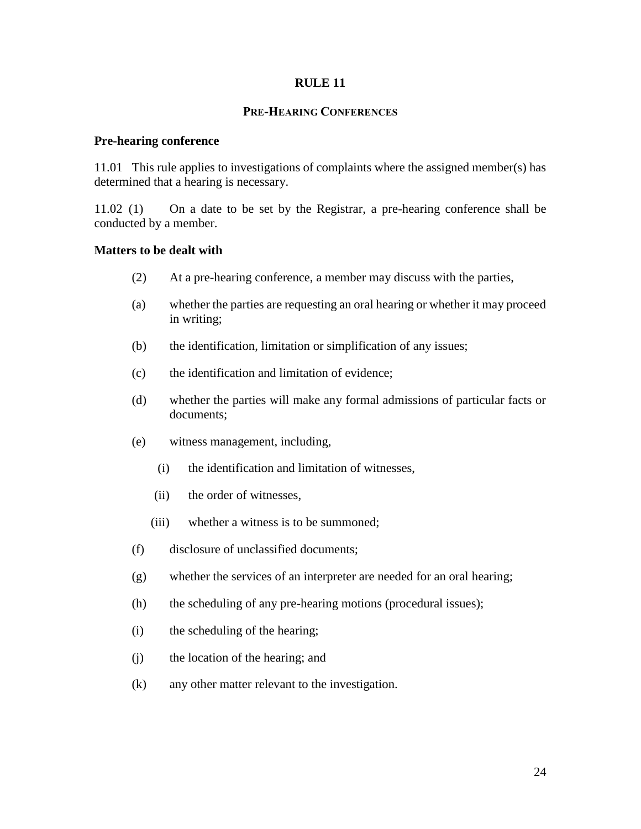### **PRE-HEARING CONFERENCES**

### **Pre-hearing conference**

11.01 This rule applies to investigations of complaints where the assigned member(s) has determined that a hearing is necessary.

11.02 (1) On a date to be set by the Registrar, a pre-hearing conference shall be conducted by a member.

## **Matters to be dealt with**

- (2) At a pre-hearing conference, a member may discuss with the parties,
- (a) whether the parties are requesting an oral hearing or whether it may proceed in writing;
- (b) the identification, limitation or simplification of any issues;
- (c) the identification and limitation of evidence;
- (d) whether the parties will make any formal admissions of particular facts or documents;
- (e) witness management, including,
	- (i) the identification and limitation of witnesses,
	- (ii) the order of witnesses,
	- (iii) whether a witness is to be summoned;
- (f) disclosure of unclassified documents;
- (g) whether the services of an interpreter are needed for an oral hearing;
- (h) the scheduling of any pre-hearing motions (procedural issues);
- (i) the scheduling of the hearing;
- (j) the location of the hearing; and
- (k) any other matter relevant to the investigation.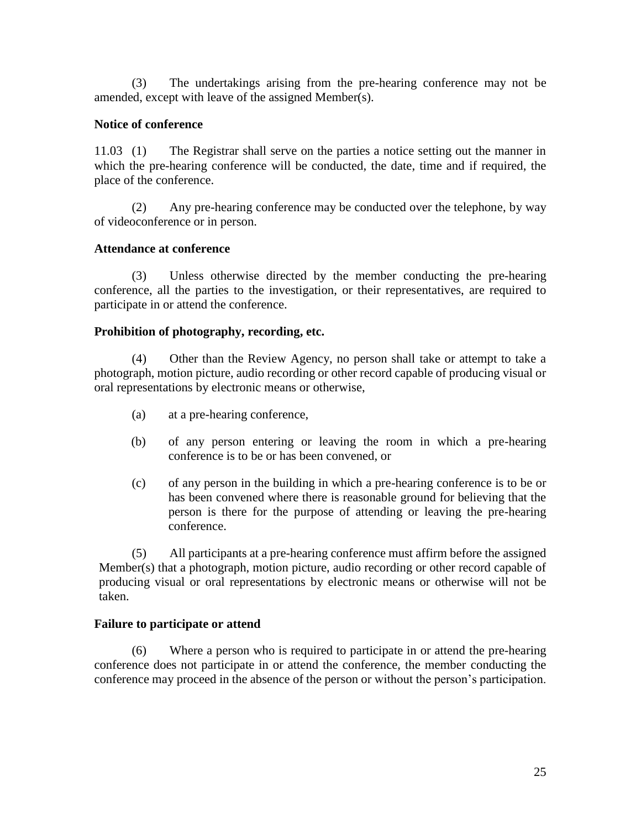(3) The undertakings arising from the pre-hearing conference may not be amended, except with leave of the assigned Member(s).

## **Notice of conference**

11.03 (1) The Registrar shall serve on the parties a notice setting out the manner in which the pre-hearing conference will be conducted, the date, time and if required, the place of the conference.

(2) Any pre-hearing conference may be conducted over the telephone, by way of videoconference or in person.

# **Attendance at conference**

(3) Unless otherwise directed by the member conducting the pre-hearing conference, all the parties to the investigation, or their representatives, are required to participate in or attend the conference.

# **Prohibition of photography, recording, etc.**

(4) Other than the Review Agency, no person shall take or attempt to take a photograph, motion picture, audio recording or other record capable of producing visual or oral representations by electronic means or otherwise,

- (a) at a pre-hearing conference,
- (b) of any person entering or leaving the room in which a pre-hearing conference is to be or has been convened, or
- (c) of any person in the building in which a pre-hearing conference is to be or has been convened where there is reasonable ground for believing that the person is there for the purpose of attending or leaving the pre-hearing conference.

(5) All participants at a pre-hearing conference must affirm before the assigned Member(s) that a photograph, motion picture, audio recording or other record capable of producing visual or oral representations by electronic means or otherwise will not be taken.

## **Failure to participate or attend**

(6) Where a person who is required to participate in or attend the pre-hearing conference does not participate in or attend the conference, the member conducting the conference may proceed in the absence of the person or without the person's participation.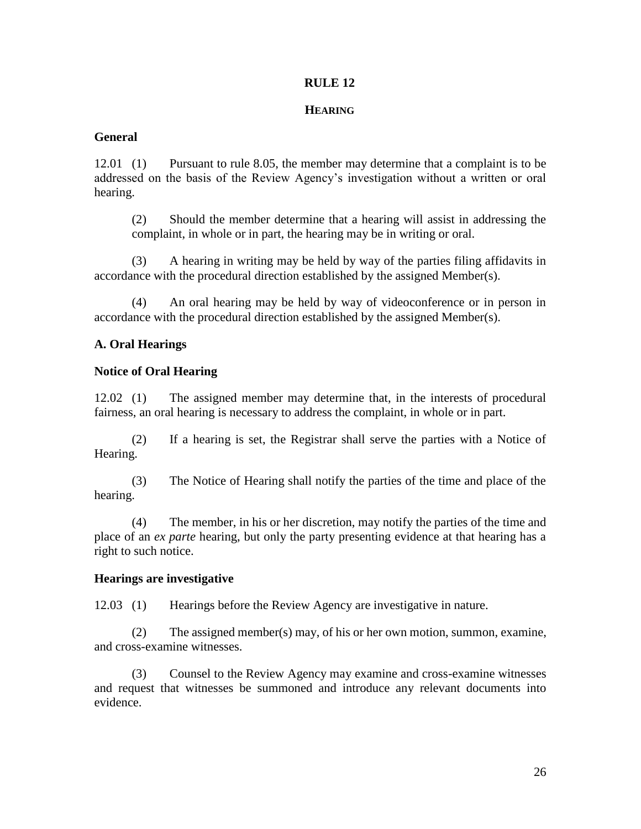## **HEARING**

# **General**

12.01 (1) Pursuant to rule 8.05, the member may determine that a complaint is to be addressed on the basis of the Review Agency's investigation without a written or oral hearing.

(2) Should the member determine that a hearing will assist in addressing the complaint, in whole or in part, the hearing may be in writing or oral.

(3) A hearing in writing may be held by way of the parties filing affidavits in accordance with the procedural direction established by the assigned Member(s).

(4) An oral hearing may be held by way of videoconference or in person in accordance with the procedural direction established by the assigned Member(s).

# **A. Oral Hearings**

# **Notice of Oral Hearing**

12.02 (1) The assigned member may determine that, in the interests of procedural fairness, an oral hearing is necessary to address the complaint, in whole or in part.

(2) If a hearing is set, the Registrar shall serve the parties with a Notice of Hearing.

(3) The Notice of Hearing shall notify the parties of the time and place of the hearing.

(4) The member, in his or her discretion, may notify the parties of the time and place of an *ex parte* hearing, but only the party presenting evidence at that hearing has a right to such notice.

# **Hearings are investigative**

12.03 (1) Hearings before the Review Agency are investigative in nature.

(2) The assigned member(s) may, of his or her own motion, summon, examine, and cross-examine witnesses.

(3) Counsel to the Review Agency may examine and cross-examine witnesses and request that witnesses be summoned and introduce any relevant documents into evidence.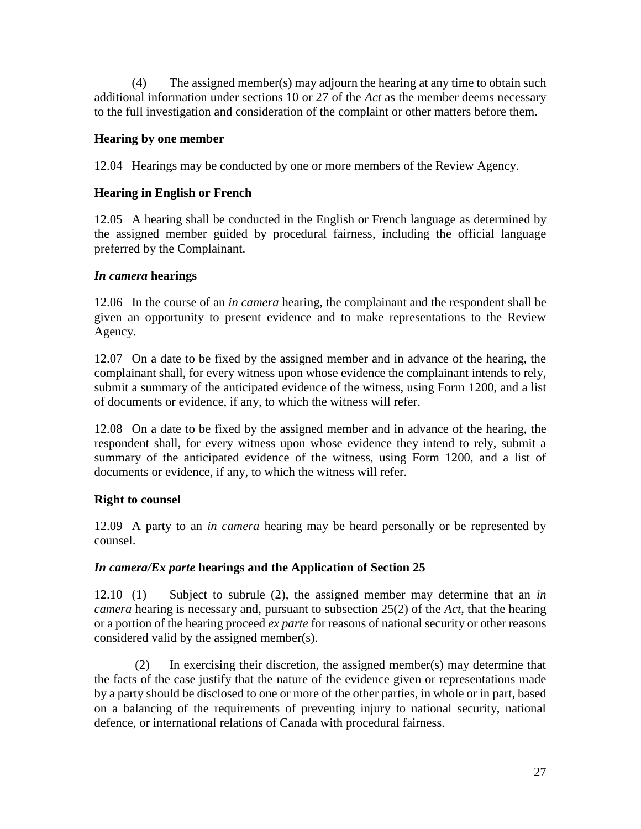(4) The assigned member(s) may adjourn the hearing at any time to obtain such additional information under sections 10 or 27 of the *Act* as the member deems necessary to the full investigation and consideration of the complaint or other matters before them.

# **Hearing by one member**

12.04 Hearings may be conducted by one or more members of the Review Agency.

# **Hearing in English or French**

12.05 A hearing shall be conducted in the English or French language as determined by the assigned member guided by procedural fairness, including the official language preferred by the Complainant.

# *In camera* **hearings**

12.06 In the course of an *in camera* hearing, the complainant and the respondent shall be given an opportunity to present evidence and to make representations to the Review Agency.

12.07 On a date to be fixed by the assigned member and in advance of the hearing, the complainant shall, for every witness upon whose evidence the complainant intends to rely, submit a summary of the anticipated evidence of the witness, using Form 1200, and a list of documents or evidence, if any, to which the witness will refer.

12.08 On a date to be fixed by the assigned member and in advance of the hearing, the respondent shall, for every witness upon whose evidence they intend to rely, submit a summary of the anticipated evidence of the witness, using Form 1200, and a list of documents or evidence, if any, to which the witness will refer.

# **Right to counsel**

12.09 A party to an *in camera* hearing may be heard personally or be represented by counsel.

# *In camera/Ex parte* **hearings and the Application of Section 25**

12.10 (1) Subject to subrule (2), the assigned member may determine that an *in camera* hearing is necessary and, pursuant to subsection 25(2) of the *Act*, that the hearing or a portion of the hearing proceed *ex parte* for reasons of national security or other reasons considered valid by the assigned member(s).

(2) In exercising their discretion, the assigned member(s) may determine that the facts of the case justify that the nature of the evidence given or representations made by a party should be disclosed to one or more of the other parties, in whole or in part, based on a balancing of the requirements of preventing injury to national security, national defence, or international relations of Canada with procedural fairness.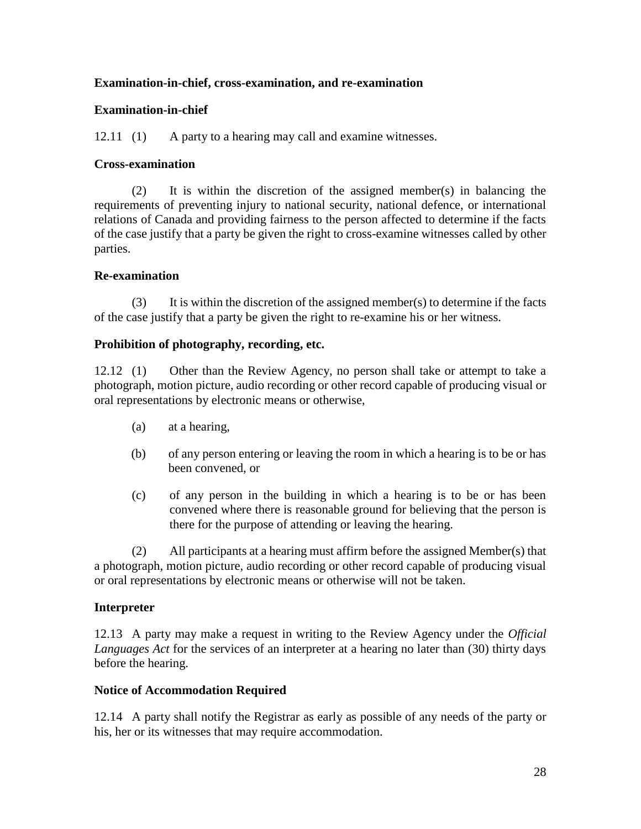# **Examination-in-chief, cross-examination, and re-examination**

## **Examination-in-chief**

12.11 (1) A party to a hearing may call and examine witnesses.

## **Cross-examination**

(2) It is within the discretion of the assigned member(s) in balancing the requirements of preventing injury to national security, national defence, or international relations of Canada and providing fairness to the person affected to determine if the facts of the case justify that a party be given the right to cross-examine witnesses called by other parties.

# **Re-examination**

(3) It is within the discretion of the assigned member(s) to determine if the facts of the case justify that a party be given the right to re-examine his or her witness.

# **Prohibition of photography, recording, etc.**

12.12 (1) Other than the Review Agency, no person shall take or attempt to take a photograph, motion picture, audio recording or other record capable of producing visual or oral representations by electronic means or otherwise,

- (a) at a hearing,
- (b) of any person entering or leaving the room in which a hearing is to be or has been convened, or
- (c) of any person in the building in which a hearing is to be or has been convened where there is reasonable ground for believing that the person is there for the purpose of attending or leaving the hearing.

(2) All participants at a hearing must affirm before the assigned Member(s) that a photograph, motion picture, audio recording or other record capable of producing visual or oral representations by electronic means or otherwise will not be taken.

# **Interpreter**

12.13 A party may make a request in writing to the Review Agency under the *Official Languages Act* for the services of an interpreter at a hearing no later than (30) thirty days before the hearing.

## **Notice of Accommodation Required**

12.14 A party shall notify the Registrar as early as possible of any needs of the party or his, her or its witnesses that may require accommodation.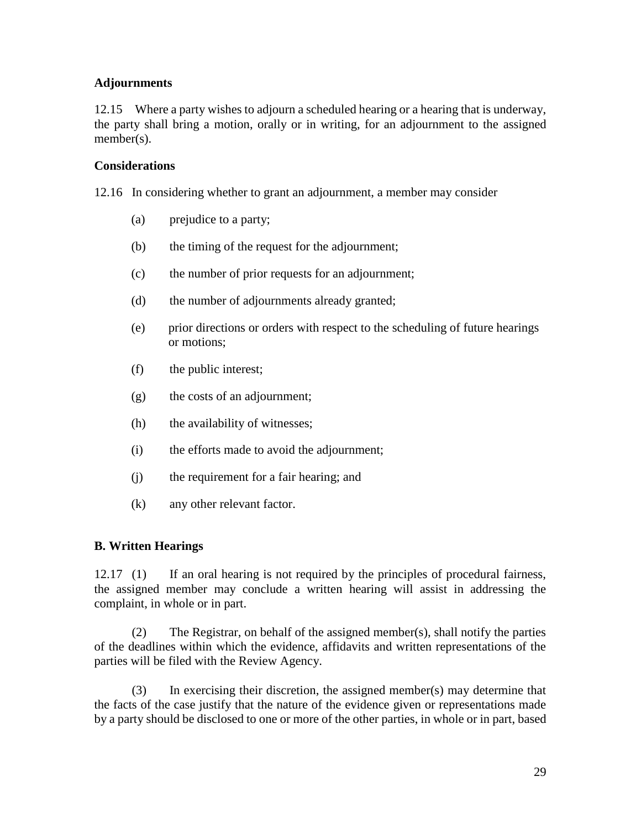# **Adjournments**

12.15 Where a party wishes to adjourn a scheduled hearing or a hearing that is underway, the party shall bring a motion, orally or in writing, for an adjournment to the assigned member(s).

## **Considerations**

12.16 In considering whether to grant an adjournment, a member may consider

- (a) prejudice to a party;
- (b) the timing of the request for the adjournment;
- (c) the number of prior requests for an adjournment;
- (d) the number of adjournments already granted;
- (e) prior directions or orders with respect to the scheduling of future hearings or motions;
- (f) the public interest;
- (g) the costs of an adjournment;
- (h) the availability of witnesses;
- (i) the efforts made to avoid the adjournment;
- (j) the requirement for a fair hearing; and
- (k) any other relevant factor.

## **B. Written Hearings**

12.17 (1) If an oral hearing is not required by the principles of procedural fairness, the assigned member may conclude a written hearing will assist in addressing the complaint, in whole or in part.

(2) The Registrar, on behalf of the assigned member(s), shall notify the parties of the deadlines within which the evidence, affidavits and written representations of the parties will be filed with the Review Agency.

(3) In exercising their discretion, the assigned member(s) may determine that the facts of the case justify that the nature of the evidence given or representations made by a party should be disclosed to one or more of the other parties, in whole or in part, based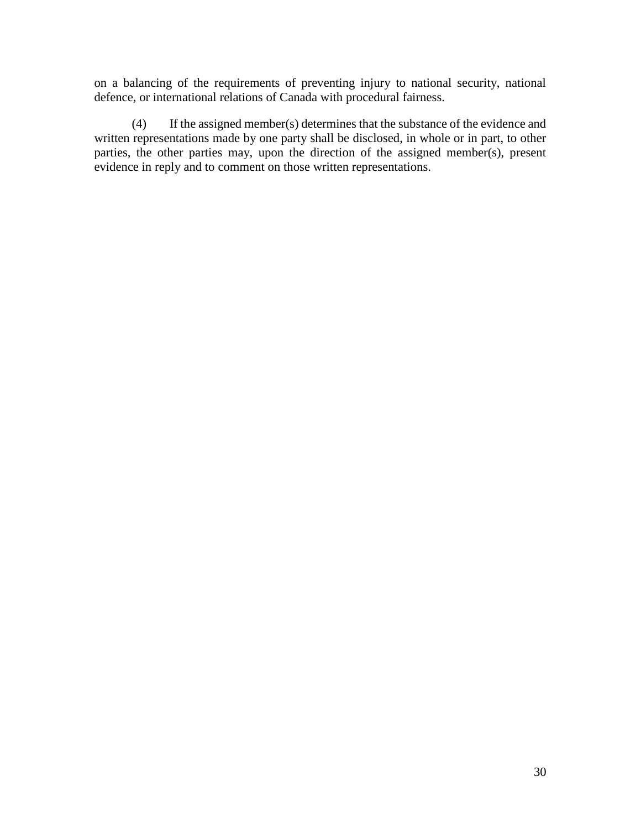on a balancing of the requirements of preventing injury to national security, national defence, or international relations of Canada with procedural fairness.

(4) If the assigned member(s) determines that the substance of the evidence and written representations made by one party shall be disclosed, in whole or in part, to other parties, the other parties may, upon the direction of the assigned member(s), present evidence in reply and to comment on those written representations.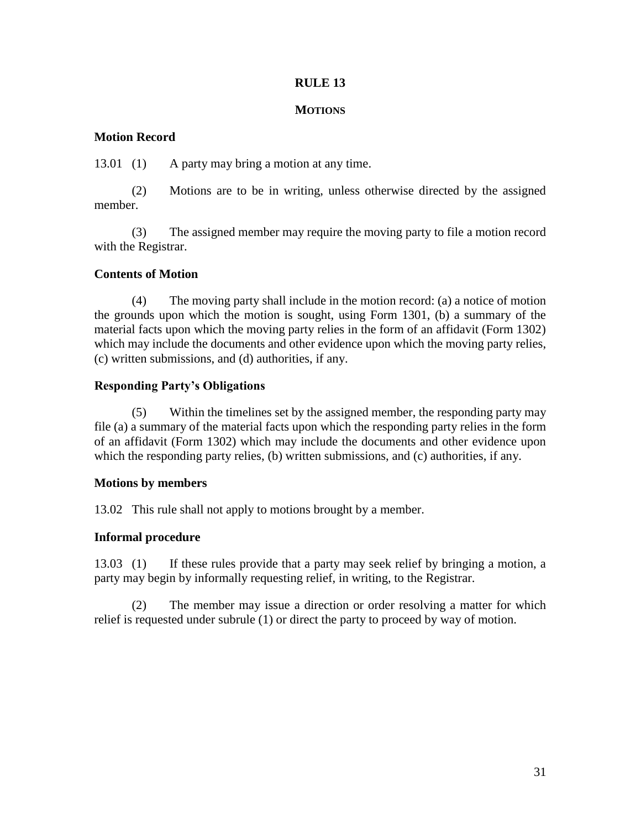## **MOTIONS**

# **Motion Record**

13.01 (1) A party may bring a motion at any time.

(2) Motions are to be in writing, unless otherwise directed by the assigned member.

(3) The assigned member may require the moving party to file a motion record with the Registrar.

# **Contents of Motion**

(4) The moving party shall include in the motion record: (a) a notice of motion the grounds upon which the motion is sought, using Form 1301, (b) a summary of the material facts upon which the moving party relies in the form of an affidavit (Form 1302) which may include the documents and other evidence upon which the moving party relies, (c) written submissions, and (d) authorities, if any.

# **Responding Party's Obligations**

(5) Within the timelines set by the assigned member, the responding party may file (a) a summary of the material facts upon which the responding party relies in the form of an affidavit (Form 1302) which may include the documents and other evidence upon which the responding party relies, (b) written submissions, and (c) authorities, if any.

# **Motions by members**

13.02 This rule shall not apply to motions brought by a member.

# **Informal procedure**

13.03 (1) If these rules provide that a party may seek relief by bringing a motion, a party may begin by informally requesting relief, in writing, to the Registrar.

(2) The member may issue a direction or order resolving a matter for which relief is requested under subrule (1) or direct the party to proceed by way of motion.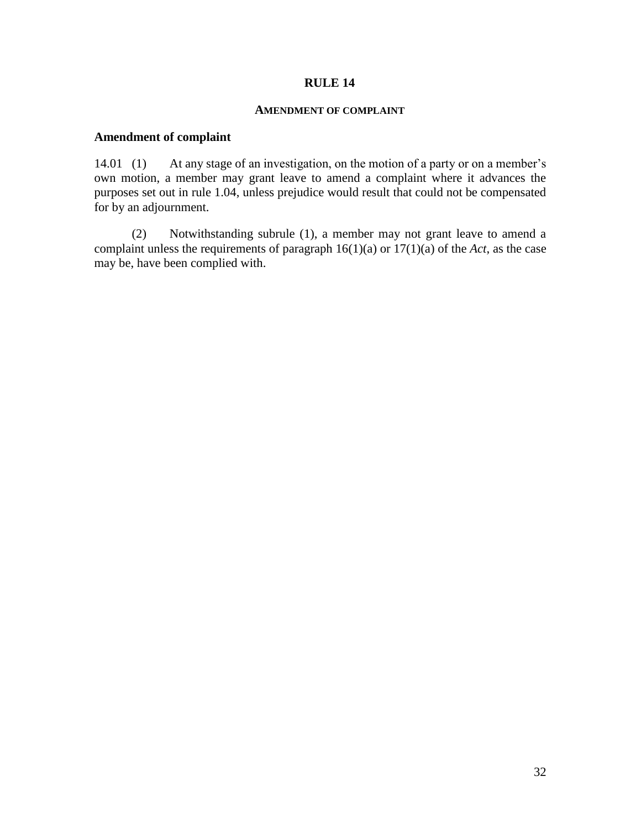#### **AMENDMENT OF COMPLAINT**

# **Amendment of complaint**

14.01 (1) At any stage of an investigation, on the motion of a party or on a member's own motion, a member may grant leave to amend a complaint where it advances the purposes set out in rule 1.04, unless prejudice would result that could not be compensated for by an adjournment.

(2) Notwithstanding subrule (1), a member may not grant leave to amend a complaint unless the requirements of paragraph 16(1)(a) or 17(1)(a) of the *Act*, as the case may be, have been complied with.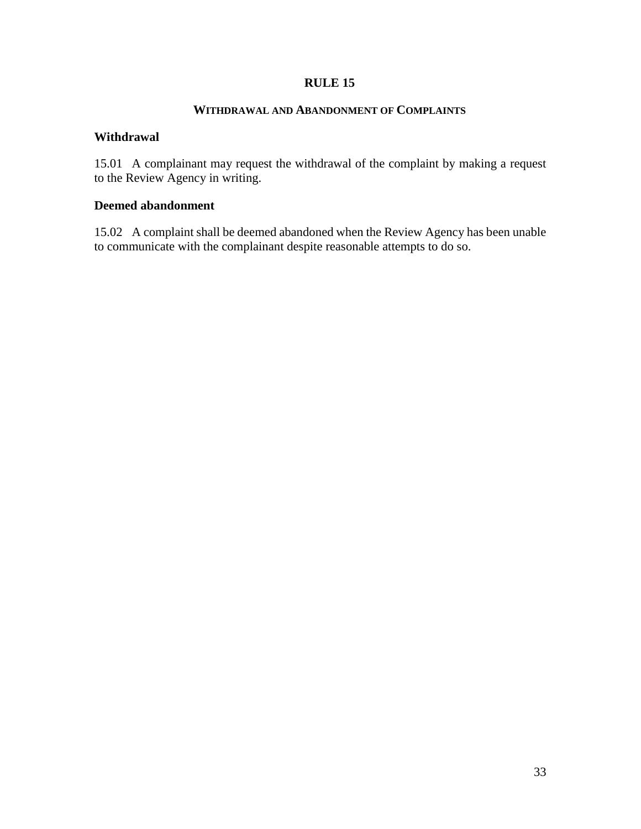#### **WITHDRAWAL AND ABANDONMENT OF COMPLAINTS**

#### **Withdrawal**

15.01 A complainant may request the withdrawal of the complaint by making a request to the Review Agency in writing.

### **Deemed abandonment**

15.02 A complaint shall be deemed abandoned when the Review Agency has been unable to communicate with the complainant despite reasonable attempts to do so.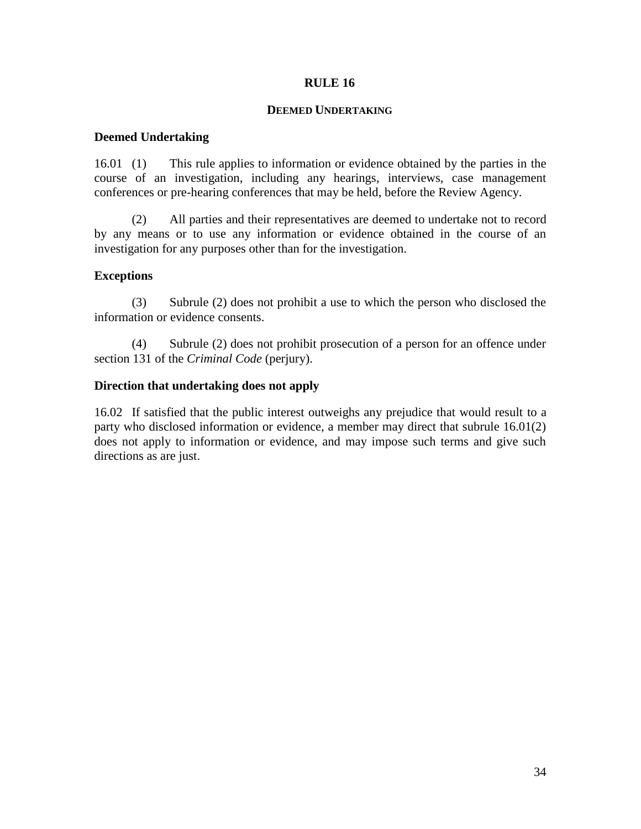### **DEEMED UNDERTAKING**

## **Deemed Undertaking**

16.01 (1) This rule applies to information or evidence obtained by the parties in the course of an investigation, including any hearings, interviews, case management conferences or pre-hearing conferences that may be held, before the Review Agency.

(2) All parties and their representatives are deemed to undertake not to record by any means or to use any information or evidence obtained in the course of an investigation for any purposes other than for the investigation.

## **Exceptions**

(3) Subrule (2) does not prohibit a use to which the person who disclosed the information or evidence consents.

(4) Subrule (2) does not prohibit prosecution of a person for an offence under section 131 of the *Criminal Code* (perjury).

## **Direction that undertaking does not apply**

16.02 If satisfied that the public interest outweighs any prejudice that would result to a party who disclosed information or evidence, a member may direct that subrule 16.01(2) does not apply to information or evidence, and may impose such terms and give such directions as are just.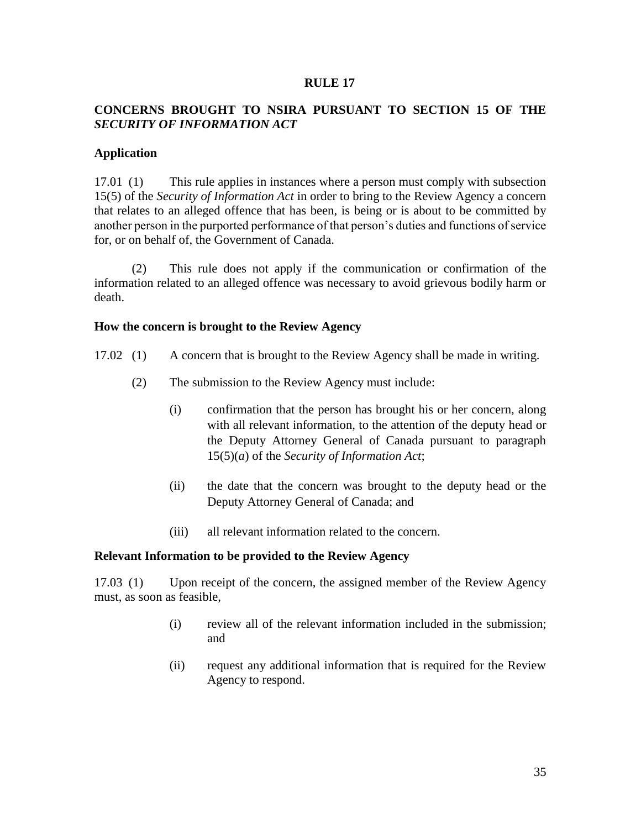# **CONCERNS BROUGHT TO NSIRA PURSUANT TO SECTION 15 OF THE**  *SECURITY OF INFORMATION ACT*

## **Application**

17.01 (1) This rule applies in instances where a person must comply with subsection 15(5) of the *Security of Information Act* in order to bring to the Review Agency a concern that relates to an alleged offence that has been, is being or is about to be committed by another person in the purported performance of that person's duties and functions of service for, or on behalf of, the Government of Canada.

(2) This rule does not apply if the communication or confirmation of the information related to an alleged offence was necessary to avoid grievous bodily harm or death.

### **How the concern is brought to the Review Agency**

- 17.02 (1) A concern that is brought to the Review Agency shall be made in writing.
	- (2) The submission to the Review Agency must include:
		- (i) confirmation that the person has brought his or her concern, along with all relevant information, to the attention of the deputy head or the Deputy Attorney General of Canada pursuant to paragraph 15(5)(*a*) of the *Security of Information Act*;
		- (ii) the date that the concern was brought to the deputy head or the Deputy Attorney General of Canada; and
		- (iii) all relevant information related to the concern.

#### **Relevant Information to be provided to the Review Agency**

17.03 (1) Upon receipt of the concern, the assigned member of the Review Agency must, as soon as feasible,

- (i) review all of the relevant information included in the submission; and
- (ii) request any additional information that is required for the Review Agency to respond.